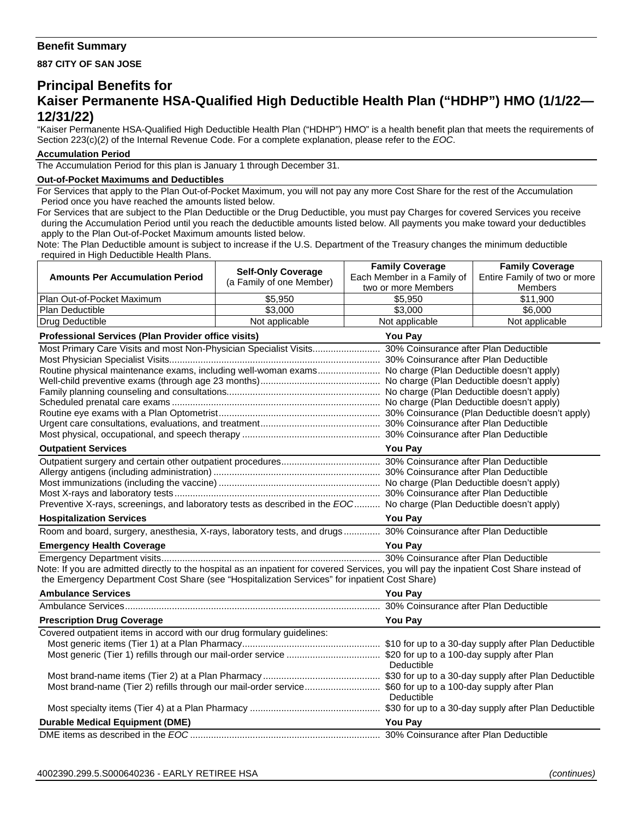## **Benefit Summary**

**887 CITY OF SAN JOSE** 

## **Principal Benefits for Kaiser Permanente HSA-Qualified High Deductible Health Plan ("HDHP") HMO (1/1/22— 12/31/22)**

"Kaiser Permanente HSA-Qualified High Deductible Health Plan ("HDHP") HMO" is a health benefit plan that meets the requirements of Section 223(c)(2) of the Internal Revenue Code. For a complete explanation, please refer to the *EOC*.

## **Accumulation Period**

The Accumulation Period for this plan is January 1 through December 31.

## **Out-of-Pocket Maximums and Deductibles**

For Services that apply to the Plan Out-of-Pocket Maximum, you will not pay any more Cost Share for the rest of the Accumulation Period once you have reached the amounts listed below.

For Services that are subject to the Plan Deductible or the Drug Deductible, you must pay Charges for covered Services you receive during the Accumulation Period until you reach the deductible amounts listed below. All payments you make toward your deductibles apply to the Plan Out-of-Pocket Maximum amounts listed below.

**Family Coverage**

**Family Coverage**

Note: The Plan Deductible amount is subject to increase if the U.S. Department of the Treasury changes the minimum deductible required in High Deductible Health Plans.

|                                                                                                                                                                                                                                            | <b>Self-Only Coverage</b>                                                                                             | <b>COUNTY OUTSING</b>          | <b>Hamily Ovverage</b>       |  |
|--------------------------------------------------------------------------------------------------------------------------------------------------------------------------------------------------------------------------------------------|-----------------------------------------------------------------------------------------------------------------------|--------------------------------|------------------------------|--|
| <b>Amounts Per Accumulation Period</b>                                                                                                                                                                                                     | (a Family of one Member)                                                                                              | Each Member in a Family of     | Entire Family of two or more |  |
| Plan Out-of-Pocket Maximum                                                                                                                                                                                                                 | \$5,950                                                                                                               | two or more Members<br>\$5,950 | Members<br>\$11,900          |  |
| Plan Deductible                                                                                                                                                                                                                            | \$3,000                                                                                                               | \$3,000                        | \$6,000                      |  |
| Drug Deductible                                                                                                                                                                                                                            | Not applicable                                                                                                        | Not applicable                 | Not applicable               |  |
|                                                                                                                                                                                                                                            |                                                                                                                       |                                |                              |  |
| Professional Services (Plan Provider office visits)                                                                                                                                                                                        |                                                                                                                       | You Pay                        |                              |  |
| Routine physical maintenance exams, including well-woman exams No charge (Plan Deductible doesn't apply)                                                                                                                                   |                                                                                                                       |                                |                              |  |
| <b>Outpatient Services</b>                                                                                                                                                                                                                 |                                                                                                                       | <b>You Pay</b>                 |                              |  |
| Preventive X-rays, screenings, and laboratory tests as described in the EOC No charge (Plan Deductible doesn't apply)                                                                                                                      |                                                                                                                       |                                |                              |  |
| <b>Hospitalization Services</b>                                                                                                                                                                                                            |                                                                                                                       | <b>You Pay</b>                 |                              |  |
| Room and board, surgery, anesthesia, X-rays, laboratory tests, and drugs 30% Coinsurance after Plan Deductible                                                                                                                             |                                                                                                                       |                                |                              |  |
| <b>Emergency Health Coverage</b>                                                                                                                                                                                                           | <u> 1989 - Johann Barn, mars ann an t-Amhain Aonaichte ann an t-Amhain Aonaichte ann an t-Amhain Aonaichte ann an</u> | You Pay                        |                              |  |
| Note: If you are admitted directly to the hospital as an inpatient for covered Services, you will pay the inpatient Cost Share instead of<br>the Emergency Department Cost Share (see "Hospitalization Services" for inpatient Cost Share) |                                                                                                                       |                                |                              |  |
| <b>Ambulance Services</b>                                                                                                                                                                                                                  |                                                                                                                       | <b>You Pay</b>                 |                              |  |
|                                                                                                                                                                                                                                            |                                                                                                                       |                                |                              |  |
| <b>Prescription Drug Coverage</b>                                                                                                                                                                                                          |                                                                                                                       | <b>You Pay</b>                 |                              |  |
| Covered outpatient items in accord with our drug formulary guidelines:                                                                                                                                                                     |                                                                                                                       | Deductible                     |                              |  |
| Most brand-name (Tier 2) refills through our mail-order service\$60 for up to a 100-day supply after Plan                                                                                                                                  |                                                                                                                       | Deductible                     |                              |  |
|                                                                                                                                                                                                                                            |                                                                                                                       |                                |                              |  |
| <b>Durable Medical Equipment (DME)</b>                                                                                                                                                                                                     |                                                                                                                       | <b>You Pay</b>                 |                              |  |
|                                                                                                                                                                                                                                            |                                                                                                                       |                                |                              |  |